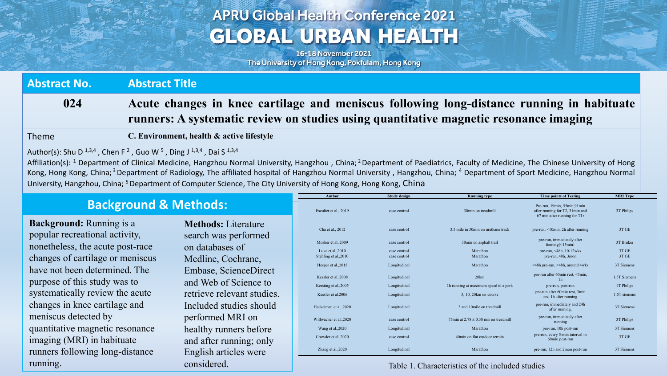## **APRU Global Health Conference 2021 GLOBAL URBAN HEALTH**

16-18 November 2021 The University of Hong Kong, Pokfulam, Hong Kong

**Abstract No. Abstract Title 024 Acute changes in knee cartilage and meniscus following long-distance running in habituate runners: A systematic review on studies using quantitative magnetic resonance imaging**

Theme **C. Environment, health & active lifestyle**

Author(s): Shu D<sup>1,3,4</sup>, Chen F<sup>2</sup>, Guo W<sup>5</sup>, Ding J<sup>1,3,4</sup>, Dai S<sup>1,3,4</sup>

Affiliation(s): <sup>1</sup> Department of Clinical Medicine, Hangzhou Normal University, Hangzhou, China; <sup>2</sup> Department of Paediatrics, Faculty of Medicine, The Chinese University of Hong Kong, Hong Kong, China;<sup>3</sup> Department of Radiology, The affiliated hospital of Hangzhou Normal University, Hangzhou, China; <sup>4</sup> Department of Sport Medicine, Hangzhou Normal University, Hangzhou, China; <sup>5</sup> Department of Computer Science, The City University of Hong Kong, Hong Kong, China

## **Background & Methods:**

**Background:** Running is a popular recreational activity, nonetheless, the acute post-race changes of cartilage or meniscus have not been determined. The purpose of this study was to systematically review the acute changes in knee cartilage and meniscus detected by quantitative magnetic resonance imaging (MRI) in habituate runners following long-distance running.

**Methods:** Literature search was performed on databases of Medline, Cochrane, Embase, ScienceDirect and Web of Science to retrieve relevant studies. Included studies should performed MRI on healthy runners before and after running; only English articles were considered.

| <b>Author</b>                              | <b>Study design</b>          | <b>Running type</b>                       | <b>Time points of Testing</b>                                                                   | <b>MRI</b> Type |
|--------------------------------------------|------------------------------|-------------------------------------------|-------------------------------------------------------------------------------------------------|-----------------|
| Esculier et al., 2019                      | case control                 | 30min on treadmill                        | Pre-run, 19min, 55min, 91min<br>after running for T2, 31min and<br>67 min after running for T1r | 3T Philips      |
| Cha et al., 2012                           | case control                 | 3.5 mile in 30min on urethane track       | pre-run, <10min, 2h after running                                                               | 3T GE           |
| Mosher et al., 2009                        | case control                 | 30min on asphalt trail                    | pre-run, immediately after<br>funning $(\leq 15$ min)                                           | 3T Bruker       |
| Luke et al., 2010<br>Stehling et al., 2010 | case control<br>case control | Marathon<br>Marathon                      | pre-run, $\leq 48h$ , 10-12wks<br>pre-run, 48h, 3mon                                            | 3T GE<br>3T GE  |
| Hesper et al., 2015                        | Longitudinal                 | Marathon                                  | <48h pre-run, <48h, around 4wks                                                                 | 3T Siemens      |
| Kessler et al., 2008                       | Longitudinal                 | 20km                                      | pre-run after 60min rest, <3min,<br>1 <sub>h</sub>                                              | 1.5T Siemens    |
| Kersting et al., 2005                      | Longitudinal                 | 1h running at maximum speed in a park     | pre-run, post-run                                                                               | 1T Philips      |
| Kessler et al.2006                         | Longitudinal                 | 5, 10, 20km on course                     | pre-run after 60min rest, 3min<br>and 1h after running                                          | 1.5T siemens    |
| Heckelman et al., 2020                     | Longitudinal                 | 3 and 10mile on treadmill                 | pre-run, immediately and 24h<br>after running,                                                  | 3T Siemens      |
| Willwacher et al., 2020                    | case control                 | 75min at $2.78 \pm 0.38$ m/s on treadmill | pre-run, immediately after<br>running                                                           | 3T Philips      |
| Wang et al., 2020                          | Longitudinal                 | Marathon                                  | pre-run, 10h post-run                                                                           | 3T Siemens      |
| Crowder et al., 2020                       | case control                 | 40min on flat outdoor terrain             | pre-run, every 5-min interval in<br>60min post-run                                              | 3T GE           |
| Zhang et al., 2020                         | Longitudinal                 | Marathon                                  | pre-run, 12h and 2mon post-run                                                                  | 3T Siemens      |

Table 1. Characteristics of the included studies